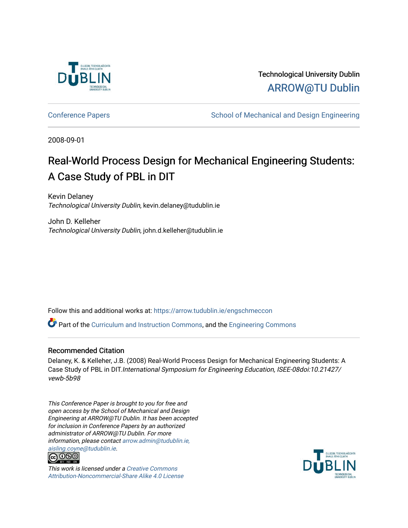

Technological University Dublin [ARROW@TU Dublin](https://arrow.tudublin.ie/) 

[Conference Papers](https://arrow.tudublin.ie/engschmeccon) **School of Mechanical and Design Engineering** School of Mechanical and Design Engineering

2008-09-01

# Real-World Process Design for Mechanical Engineering Students: A Case Study of PBL in DIT

Kevin Delaney Technological University Dublin, kevin.delaney@tudublin.ie

John D. Kelleher Technological University Dublin, john.d.kelleher@tudublin.ie

Follow this and additional works at: [https://arrow.tudublin.ie/engschmeccon](https://arrow.tudublin.ie/engschmeccon?utm_source=arrow.tudublin.ie%2Fengschmeccon%2F16&utm_medium=PDF&utm_campaign=PDFCoverPages) 

**C** Part of the [Curriculum and Instruction Commons,](http://network.bepress.com/hgg/discipline/786?utm_source=arrow.tudublin.ie%2Fengschmeccon%2F16&utm_medium=PDF&utm_campaign=PDFCoverPages) and the Engineering Commons

#### Recommended Citation

Delaney, K. & Kelleher, J.B. (2008) Real-World Process Design for Mechanical Engineering Students: A Case Study of PBL in DIT.International Symposium for Engineering Education, ISEE-08doi:10.21427/ vewb-5b98

This Conference Paper is brought to you for free and open access by the School of Mechanical and Design Engineering at ARROW@TU Dublin. It has been accepted for inclusion in Conference Papers by an authorized administrator of ARROW@TU Dublin. For more information, please contact [arrow.admin@tudublin.ie,](mailto:arrow.admin@tudublin.ie,%20aisling.coyne@tudublin.ie)  [aisling.coyne@tudublin.ie](mailto:arrow.admin@tudublin.ie,%20aisling.coyne@tudublin.ie).<br>@060



This work is licensed under a [Creative Commons](http://creativecommons.org/licenses/by-nc-sa/4.0/) [Attribution-Noncommercial-Share Alike 4.0 License](http://creativecommons.org/licenses/by-nc-sa/4.0/)

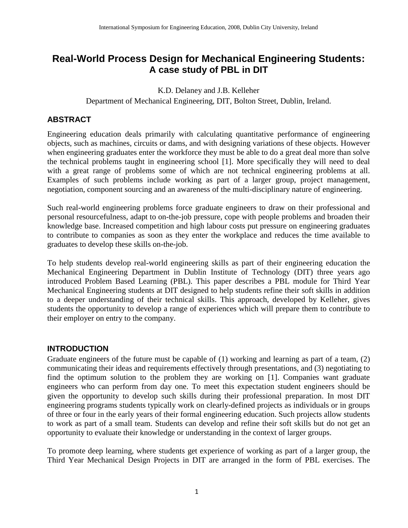## **Real-World Process Design for Mechanical Engineering Students: A case study of PBL in DIT**

K.D. Delaney and J.B. Kelleher Department of Mechanical Engineering, DIT, Bolton Street, Dublin, Ireland.

#### **ABSTRACT**

Engineering education deals primarily with calculating quantitative performance of engineering objects, such as machines, circuits or dams, and with designing variations of these objects. However when engineering graduates enter the workforce they must be able to do a great deal more than solve the technical problems taught in engineering school [1]. More specifically they will need to deal with a great range of problems some of which are not technical engineering problems at all. Examples of such problems include working as part of a larger group, project management, negotiation, component sourcing and an awareness of the multi-disciplinary nature of engineering.

Such real-world engineering problems force graduate engineers to draw on their professional and personal resourcefulness, adapt to on-the-job pressure, cope with people problems and broaden their knowledge base. Increased competition and high labour costs put pressure on engineering graduates to contribute to companies as soon as they enter the workplace and reduces the time available to graduates to develop these skills on-the-job.

To help students develop real-world engineering skills as part of their engineering education the Mechanical Engineering Department in Dublin Institute of Technology (DIT) three years ago introduced Problem Based Learning (PBL). This paper describes a PBL module for Third Year Mechanical Engineering students at DIT designed to help students refine their soft skills in addition to a deeper understanding of their technical skills. This approach, developed by Kelleher, gives students the opportunity to develop a range of experiences which will prepare them to contribute to their employer on entry to the company.

#### **INTRODUCTION**

Graduate engineers of the future must be capable of (1) working and learning as part of a team, (2) communicating their ideas and requirements effectively through presentations, and (3) negotiating to find the optimum solution to the problem they are working on [1]. Companies want graduate engineers who can perform from day one. To meet this expectation student engineers should be given the opportunity to develop such skills during their professional preparation. In most DIT engineering programs students typically work on clearly-defined projects as individuals or in groups of three or four in the early years of their formal engineering education. Such projects allow students to work as part of a small team. Students can develop and refine their soft skills but do not get an opportunity to evaluate their knowledge or understanding in the context of larger groups.

To promote deep learning, where students get experience of working as part of a larger group, the Third Year Mechanical Design Projects in DIT are arranged in the form of PBL exercises. The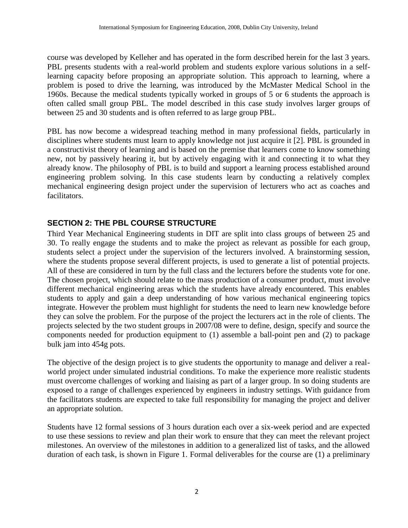course was developed by Kelleher and has operated in the form described herein for the last 3 years. PBL presents students with a real-world problem and students explore various solutions in a selflearning capacity before proposing an appropriate solution. This approach to learning, where a problem is posed to drive the learning, was introduced by the McMaster Medical School in the 1960s. Because the medical students typically worked in groups of 5 or 6 students the approach is often called small group PBL. The model described in this case study involves larger groups of between 25 and 30 students and is often referred to as large group PBL.

PBL has now become a widespread teaching method in many professional fields, particularly in disciplines where students must learn to apply knowledge not just acquire it [2]. PBL is grounded in a constructivist theory of learning and is based on the premise that learners come to know something new, not by passively hearing it, but by actively engaging with it and connecting it to what they already know. The philosophy of PBL is to build and support a learning process established around engineering problem solving. In this case students learn by conducting a relatively complex mechanical engineering design project under the supervision of lecturers who act as coaches and facilitators.

#### **SECTION 2: THE PBL COURSE STRUCTURE**

Third Year Mechanical Engineering students in DIT are split into class groups of between 25 and 30. To really engage the students and to make the project as relevant as possible for each group, students select a project under the supervision of the lecturers involved. A brainstorming session, where the students propose several different projects, is used to generate a list of potential projects. All of these are considered in turn by the full class and the lecturers before the students vote for one. The chosen project, which should relate to the mass production of a consumer product, must involve different mechanical engineering areas which the students have already encountered. This enables students to apply and gain a deep understanding of how various mechanical engineering topics integrate. However the problem must highlight for students the need to learn new knowledge before they can solve the problem. For the purpose of the project the lecturers act in the role of clients. The projects selected by the two student groups in 2007/08 were to define, design, specify and source the components needed for production equipment to (1) assemble a ball-point pen and (2) to package bulk jam into 454g pots.

The objective of the design project is to give students the opportunity to manage and deliver a realworld project under simulated industrial conditions. To make the experience more realistic students must overcome challenges of working and liaising as part of a larger group. In so doing students are exposed to a range of challenges experienced by engineers in industry settings. With guidance from the facilitators students are expected to take full responsibility for managing the project and deliver an appropriate solution.

Students have 12 formal sessions of 3 hours duration each over a six-week period and are expected to use these sessions to review and plan their work to ensure that they can meet the relevant project milestones. An overview of the milestones in addition to a generalized list of tasks, and the allowed duration of each task, is shown in Figure 1. Formal deliverables for the course are (1) a preliminary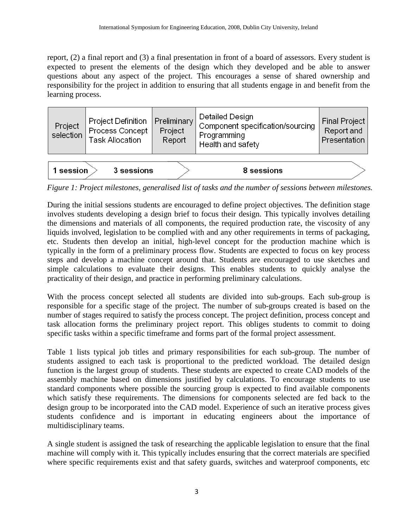report, (2) a final report and (3) a final presentation in front of a board of assessors. Every student is expected to present the elements of the design which they developed and be able to answer questions about any aspect of the project. This encourages a sense of shared ownership and responsibility for the project in addition to ensuring that all students engage in and benefit from the learning process.

| Project<br>selection | Project Definition<br>Process Concept<br><b>Task Allocation</b> | Preliminary<br>Project<br>Report | Detailed Design<br>Component specification/sourcing<br>Programming<br>Health and safety | <b>Final Project</b><br>Report and<br>Presentation |
|----------------------|-----------------------------------------------------------------|----------------------------------|-----------------------------------------------------------------------------------------|----------------------------------------------------|
| l session            | 3 sessions                                                      |                                  | 8 sessions                                                                              |                                                    |

*Figure 1: Project milestones, generalised list of tasks and the number of sessions between milestones.*

During the initial sessions students are encouraged to define project objectives. The definition stage involves students developing a design brief to focus their design. This typically involves detailing the dimensions and materials of all components, the required production rate, the viscosity of any liquids involved, legislation to be complied with and any other requirements in terms of packaging, etc. Students then develop an initial, high-level concept for the production machine which is typically in the form of a preliminary process flow. Students are expected to focus on key process steps and develop a machine concept around that. Students are encouraged to use sketches and simple calculations to evaluate their designs. This enables students to quickly analyse the practicality of their design, and practice in performing preliminary calculations.

With the process concept selected all students are divided into sub-groups. Each sub-group is responsible for a specific stage of the project. The number of sub-groups created is based on the number of stages required to satisfy the process concept. The project definition, process concept and task allocation forms the preliminary project report. This obliges students to commit to doing specific tasks within a specific timeframe and forms part of the formal project assessment.

Table 1 lists typical job titles and primary responsibilities for each sub-group. The number of students assigned to each task is proportional to the predicted workload. The detailed design function is the largest group of students. These students are expected to create CAD models of the assembly machine based on dimensions justified by calculations. To encourage students to use standard components where possible the sourcing group is expected to find available components which satisfy these requirements. The dimensions for components selected are fed back to the design group to be incorporated into the CAD model. Experience of such an iterative process gives students confidence and is important in educating engineers about the importance of multidisciplinary teams.

A single student is assigned the task of researching the applicable legislation to ensure that the final machine will comply with it. This typically includes ensuring that the correct materials are specified where specific requirements exist and that safety guards, switches and waterproof components, etc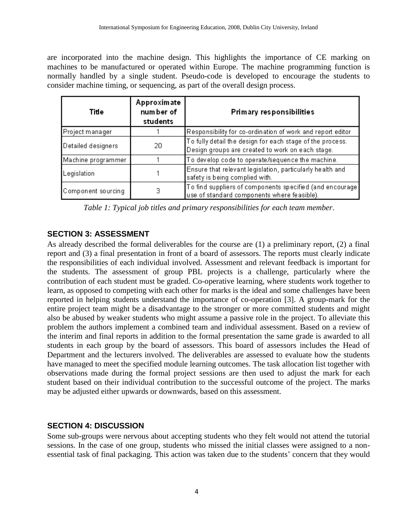are incorporated into the machine design. This highlights the importance of CE marking on machines to be manufactured or operated within Europe. The machine programming function is normally handled by a single student. Pseudo-code is developed to encourage the students to consider machine timing, or sequencing, as part of the overall design process.

| Title              | Approximate<br>num ber of<br>students | Primary responsibilities                                                                                      |  |
|--------------------|---------------------------------------|---------------------------------------------------------------------------------------------------------------|--|
| Project manager    |                                       | Responsibility for co-ordination of work and report editor                                                    |  |
| Detailed designers | 20                                    | To fully detail the design for each stage of the process.<br>Design groups are created to work on each stage. |  |
| Machine programmer |                                       | To develop code to operate/sequence the machine.                                                              |  |
| Legislation        |                                       | Ensure that relevant legislation, particularly health and<br>safety is being complied with.                   |  |
| Component sourcing | з                                     | To find suppliers of components specified (and encourage)<br>use of standard components where feasible).      |  |

*Table 1: Typical job titles and primary responsibilities for each team member.*

#### **SECTION 3: ASSESSMENT**

As already described the formal deliverables for the course are (1) a preliminary report, (2) a final report and (3) a final presentation in front of a board of assessors. The reports must clearly indicate the responsibilities of each individual involved. Assessment and relevant feedback is important for the students. The assessment of group PBL projects is a challenge, particularly where the contribution of each student must be graded. Co-operative learning, where students work together to learn, as opposed to competing with each other for marks is the ideal and some challenges have been reported in helping students understand the importance of co-operation [3]. A group-mark for the entire project team might be a disadvantage to the stronger or more committed students and might also be abused by weaker students who might assume a passive role in the project. To alleviate this problem the authors implement a combined team and individual assessment. Based on a review of the interim and final reports in addition to the formal presentation the same grade is awarded to all students in each group by the board of assessors. This board of assessors includes the Head of Department and the lecturers involved. The deliverables are assessed to evaluate how the students have managed to meet the specified module learning outcomes. The task allocation list together with observations made during the formal project sessions are then used to adjust the mark for each student based on their individual contribution to the successful outcome of the project. The marks may be adjusted either upwards or downwards, based on this assessment.

#### **SECTION 4: DISCUSSION**

Some sub-groups were nervous about accepting students who they felt would not attend the tutorial sessions. In the case of one group, students who missed the initial classes were assigned to a nonessential task of final packaging. This action was taken due to the students' concern that they would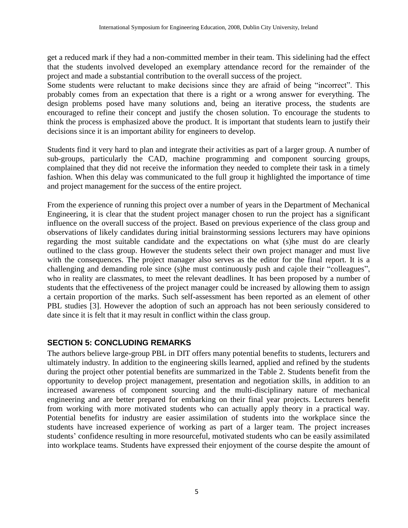get a reduced mark if they had a non-committed member in their team. This sidelining had the effect that the students involved developed an exemplary attendance record for the remainder of the project and made a substantial contribution to the overall success of the project.

Some students were reluctant to make decisions since they are afraid of being "incorrect". This probably comes from an expectation that there is a right or a wrong answer for everything. The design problems posed have many solutions and, being an iterative process, the students are encouraged to refine their concept and justify the chosen solution. To encourage the students to think the process is emphasized above the product. It is important that students learn to justify their decisions since it is an important ability for engineers to develop.

Students find it very hard to plan and integrate their activities as part of a larger group. A number of sub-groups, particularly the CAD, machine programming and component sourcing groups, complained that they did not receive the information they needed to complete their task in a timely fashion. When this delay was communicated to the full group it highlighted the importance of time and project management for the success of the entire project.

From the experience of running this project over a number of years in the Department of Mechanical Engineering, it is clear that the student project manager chosen to run the project has a significant influence on the overall success of the project. Based on previous experience of the class group and observations of likely candidates during initial brainstorming sessions lecturers may have opinions regarding the most suitable candidate and the expectations on what (s)he must do are clearly outlined to the class group. However the students select their own project manager and must live with the consequences. The project manager also serves as the editor for the final report. It is a challenging and demanding role since (s)he must continuously push and cajole their "colleagues", who in reality are classmates, to meet the relevant deadlines. It has been proposed by a number of students that the effectiveness of the project manager could be increased by allowing them to assign a certain proportion of the marks. Such self-assessment has been reported as an element of other PBL studies [3]. However the adoption of such an approach has not been seriously considered to date since it is felt that it may result in conflict within the class group.

### **SECTION 5: CONCLUDING REMARKS**

The authors believe large-group PBL in DIT offers many potential benefits to students, lecturers and ultimately industry. In addition to the engineering skills learned, applied and refined by the students during the project other potential benefits are summarized in the Table 2. Students benefit from the opportunity to develop project management, presentation and negotiation skills, in addition to an increased awareness of component sourcing and the multi-disciplinary nature of mechanical engineering and are better prepared for embarking on their final year projects. Lecturers benefit from working with more motivated students who can actually apply theory in a practical way. Potential benefits for industry are easier assimilation of students into the workplace since the students have increased experience of working as part of a larger team. The project increases students' confidence resulting in more resourceful, motivated students who can be easily assimilated into workplace teams. Students have expressed their enjoyment of the course despite the amount of